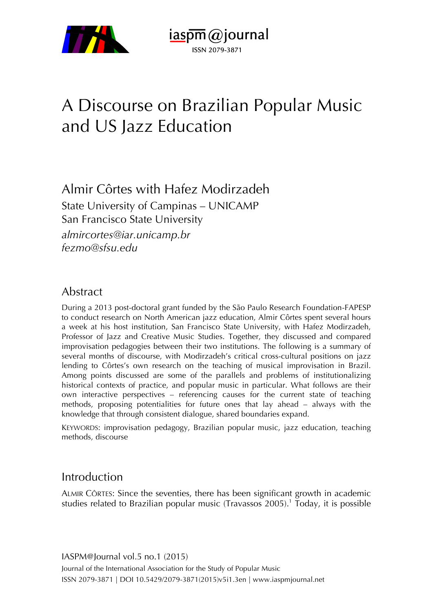

 $i$ aspm $\omega$ journal ISSN 2079-3871

# A Discourse on Brazilian Popular Music and US Jazz Education

# Almir Côrtes with Hafez Modirzadeh

State University of Campinas – UNICAMP San Francisco State University *almircortes@iar.unicamp.br fezmo@sfsu.edu*

#### Abstract

During a 2013 post-doctoral grant funded by the São Paulo Research Foundation-FAPESP to conduct research on North American jazz education, Almir Côrtes spent several hours a week at his host institution, San Francisco State University, with Hafez Modirzadeh, Professor of Jazz and Creative Music Studies. Together, they discussed and compared improvisation pedagogies between their two institutions. The following is a summary of several months of discourse, with Modirzadeh's critical cross-cultural positions on jazz lending to Côrtes's own research on the teaching of musical improvisation in Brazil. Among points discussed are some of the parallels and problems of institutionalizing historical contexts of practice, and popular music in particular. What follows are their own interactive perspectives – referencing causes for the current state of teaching methods, proposing potentialities for future ones that lay ahead – always with the knowledge that through consistent dialogue, shared boundaries expand.

KEYWORDS: improvisation pedagogy, Brazilian popular music, jazz education, teaching methods, discourse

#### Introduction

ALMIR CÔRTES: Since the seventies, there has been significant growth in academic studies related to Brazilian popular music (Travassos 2005). <sup>1</sup> Today, it is possible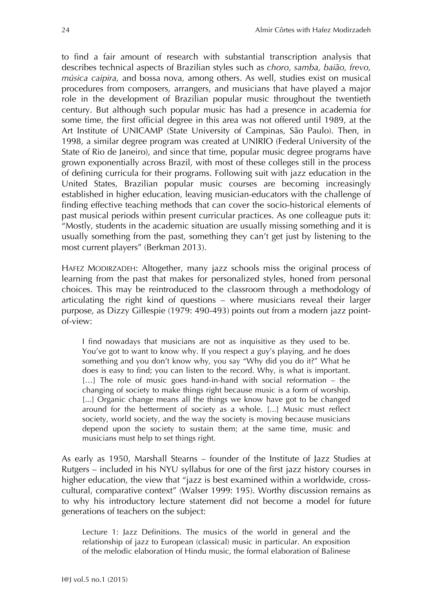to find a fair amount of research with substantial transcription analysis that describes technical aspects of Brazilian styles such as *choro*, *samba, baião, frevo, música caipira,* and bossa nova*,* among others. As well, studies exist on musical procedures from composers, arrangers, and musicians that have played a major role in the development of Brazilian popular music throughout the twentieth century. But although such popular music has had a presence in academia for some time, the first official degree in this area was not offered until 1989, at the Art Institute of UNICAMP (State University of Campinas, São Paulo). Then, in 1998, a similar degree program was created at UNIRIO (Federal University of the State of Rio de Janeiro), and since that time, popular music degree programs have grown exponentially across Brazil, with most of these colleges still in the process of defining curricula for their programs. Following suit with jazz education in the United States, Brazilian popular music courses are becoming increasingly established in higher education, leaving musician-educators with the challenge of finding effective teaching methods that can cover the socio-historical elements of past musical periods within present curricular practices. As one colleague puts it: "Mostly, students in the academic situation are usually missing something and it is usually something from the past, something they can't get just by listening to the most current players" (Berkman 2013).

HAFEZ MODIRZADEH: Altogether, many jazz schools miss the original process of learning from the past that makes for personalized styles, honed from personal choices. This may be reintroduced to the classroom through a methodology of articulating the right kind of questions – where musicians reveal their larger purpose, as Dizzy Gillespie (1979: 490-493) points out from a modern jazz pointof-view:

I find nowadays that musicians are not as inquisitive as they used to be. You've got to want to know why. If you respect a guy's playing, and he does something and you don't know why, you say "Why did you do it?" What he does is easy to find; you can listen to the record. Why, is what is important. [...] The role of music goes hand-in-hand with social reformation – the changing of society to make things right because music is a form of worship. [...] Organic change means all the things we know have got to be changed around for the betterment of society as a whole. [...] Music must reflect society, world society, and the way the society is moving because musicians depend upon the society to sustain them; at the same time, music and musicians must help to set things right.

As early as 1950, Marshall Stearns – founder of the Institute of Jazz Studies at Rutgers – included in his NYU syllabus for one of the first jazz history courses in higher education, the view that "jazz is best examined within a worldwide, crosscultural, comparative context" (Walser 1999: 195). Worthy discussion remains as to why his introductory lecture statement did not become a model for future generations of teachers on the subject:

Lecture 1: Jazz Definitions. The musics of the world in general and the relationship of jazz to European (classical) music in particular. An exposition of the melodic elaboration of Hindu music, the formal elaboration of Balinese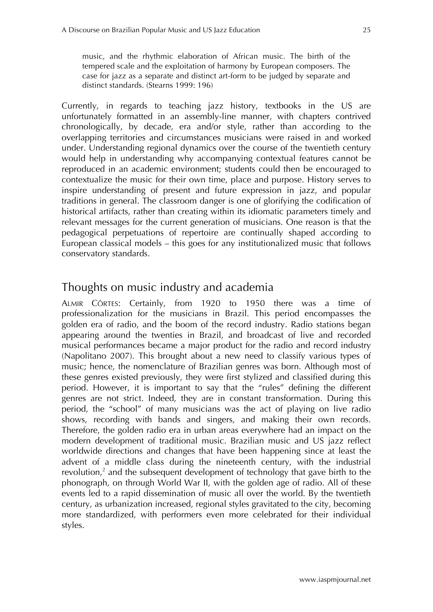music, and the rhythmic elaboration of African music. The birth of the tempered scale and the exploitation of harmony by European composers. The case for jazz as a separate and distinct art-form to be judged by separate and distinct standards. (Stearns 1999: 196)

Currently, in regards to teaching jazz history, textbooks in the US are unfortunately formatted in an assembly-line manner, with chapters contrived chronologically, by decade, era and/or style, rather than according to the overlapping territories and circumstances musicians were raised in and worked under. Understanding regional dynamics over the course of the twentieth century would help in understanding why accompanying contextual features cannot be reproduced in an academic environment; students could then be encouraged to contextualize the music for their own time, place and purpose. History serves to inspire understanding of present and future expression in jazz, and popular traditions in general. The classroom danger is one of glorifying the codification of historical artifacts, rather than creating within its idiomatic parameters timely and relevant messages for the current generation of musicians. One reason is that the pedagogical perpetuations of repertoire are continually shaped according to European classical models – this goes for any institutionalized music that follows conservatory standards.

#### Thoughts on music industry and academia

ALMIR CÔRTES: Certainly, from 1920 to 1950 there was a time of professionalization for the musicians in Brazil. This period encompasses the golden era of radio, and the boom of the record industry. Radio stations began appearing around the twenties in Brazil, and broadcast of live and recorded musical performances became a major product for the radio and record industry (Napolitano 2007). This brought about a new need to classify various types of music; hence, the nomenclature of Brazilian genres was born. Although most of these genres existed previously, they were first stylized and classified during this period. However, it is important to say that the "rules" defining the different genres are not strict. Indeed, they are in constant transformation. During this period, the "school" of many musicians was the act of playing on live radio shows, recording with bands and singers, and making their own records. Therefore, the golden radio era in urban areas everywhere had an impact on the modern development of traditional music. Brazilian music and US jazz reflect worldwide directions and changes that have been happening since at least the advent of a middle class during the nineteenth century, with the industrial revolution,<sup>2</sup> and the subsequent development of technology that gave birth to the phonograph, on through World War II, with the golden age of radio. All of these events led to a rapid dissemination of music all over the world. By the twentieth century, as urbanization increased, regional styles gravitated to the city, becoming more standardized, with performers even more celebrated for their individual styles.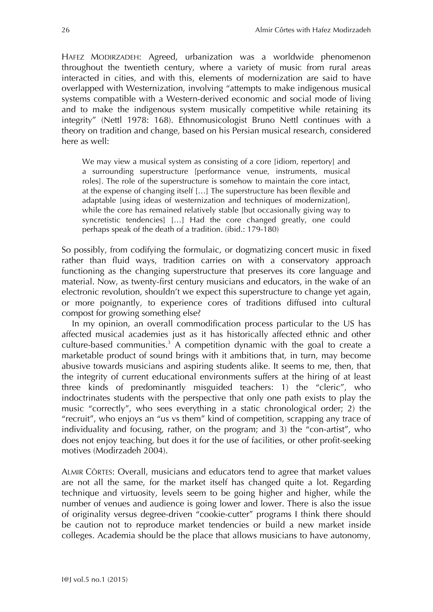HAFEZ MODIRZADEH: Agreed, urbanization was a worldwide phenomenon throughout the twentieth century, where a variety of music from rural areas interacted in cities, and with this, elements of modernization are said to have overlapped with Westernization, involving "attempts to make indigenous musical systems compatible with a Western-derived economic and social mode of living and to make the indigenous system musically competitive while retaining its integrity" (Nettl 1978: 168). Ethnomusicologist Bruno Nettl continues with a theory on tradition and change, based on his Persian musical research, considered here as well:

We may view a musical system as consisting of a core [idiom, repertory] and a surrounding superstructure [performance venue, instruments, musical roles]. The role of the superstructure is somehow to maintain the core intact, at the expense of changing itself […] The superstructure has been flexible and adaptable [using ideas of westernization and techniques of modernization], while the core has remained relatively stable [but occasionally giving way to syncretistic tendencies] […] Had the core changed greatly, one could perhaps speak of the death of a tradition. (ibid.: 179-180)

So possibly, from codifying the formulaic, or dogmatizing concert music in fixed rather than fluid ways, tradition carries on with a conservatory approach functioning as the changing superstructure that preserves its core language and material. Now, as twenty-first century musicians and educators, in the wake of an electronic revolution, shouldn't we expect this superstructure to change yet again, or more poignantly, to experience cores of traditions diffused into cultural compost for growing something else?

In my opinion, an overall commodification process particular to the US has affected musical academies just as it has historically affected ethnic and other culture-based communities.<sup>3</sup> A competition dynamic with the goal to create a marketable product of sound brings with it ambitions that, in turn, may become abusive towards musicians and aspiring students alike. It seems to me, then, that the integrity of current educational environments suffers at the hiring of at least three kinds of predominantly misguided teachers: 1) the "cleric", who indoctrinates students with the perspective that only one path exists to play the music "correctly", who sees everything in a static chronological order; 2) the "recruit", who enjoys an "us vs them" kind of competition, scrapping any trace of individuality and focusing, rather, on the program; and 3) the "con-artist", who does not enjoy teaching, but does it for the use of facilities, or other profit-seeking motives (Modirzadeh 2004).

ALMIR CÔRTES: Overall, musicians and educators tend to agree that market values are not all the same, for the market itself has changed quite a lot. Regarding technique and virtuosity, levels seem to be going higher and higher, while the number of venues and audience is going lower and lower. There is also the issue of originality versus degree-driven "cookie-cutter" programs I think there should be caution not to reproduce market tendencies or build a new market inside colleges. Academia should be the place that allows musicians to have autonomy,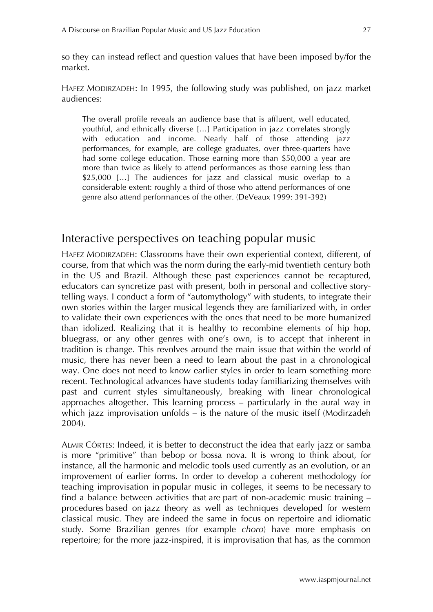so they can instead reflect and question values that have been imposed by/for the market.

HAFEZ MODIRZADEH: In 1995, the following study was published, on jazz market audiences:

The overall profile reveals an audience base that is affluent, well educated, youthful, and ethnically diverse […] Participation in jazz correlates strongly with education and income. Nearly half of those attending jazz performances, for example, are college graduates, over three-quarters have had some college education. Those earning more than \$50,000 a year are more than twice as likely to attend performances as those earning less than \$25,000 [...] The audiences for jazz and classical music overlap to a considerable extent: roughly a third of those who attend performances of one genre also attend performances of the other. (DeVeaux 1999: 391-392)

#### Interactive perspectives on teaching popular music

HAFEZ MODIRZADEH: Classrooms have their own experiential context, different, of course, from that which was the norm during the early-mid twentieth century both in the US and Brazil. Although these past experiences cannot be recaptured, educators can syncretize past with present, both in personal and collective storytelling ways. I conduct a form of "automythology" with students, to integrate their own stories within the larger musical legends they are familiarized with, in order to validate their own experiences with the ones that need to be more humanized than idolized. Realizing that it is healthy to recombine elements of hip hop, bluegrass, or any other genres with one's own, is to accept that inherent in tradition is change. This revolves around the main issue that within the world of music, there has never been a need to learn about the past in a chronological way. One does not need to know earlier styles in order to learn something more recent. Technological advances have students today familiarizing themselves with past and current styles simultaneously, breaking with linear chronological approaches altogether. This learning process – particularly in the aural way in which jazz improvisation unfolds – is the nature of the music itself (Modirzadeh 2004).

ALMIR CÔRTES: Indeed, it is better to deconstruct the idea that early jazz or samba is more "primitive" than bebop or bossa nova. It is wrong to think about, for instance, all the harmonic and melodic tools used currently as an evolution, or an improvement of earlier forms. In order to develop a coherent methodology for teaching improvisation in popular music in colleges, it seems to be necessary to find a balance between activities that are part of non-academic music training – procedures based on jazz theory as well as techniques developed for western classical music. They are indeed the same in focus on repertoire and idiomatic study. Some Brazilian genres (for example *choro*) have more emphasis on repertoire; for the more jazz-inspired, it is improvisation that has, as the common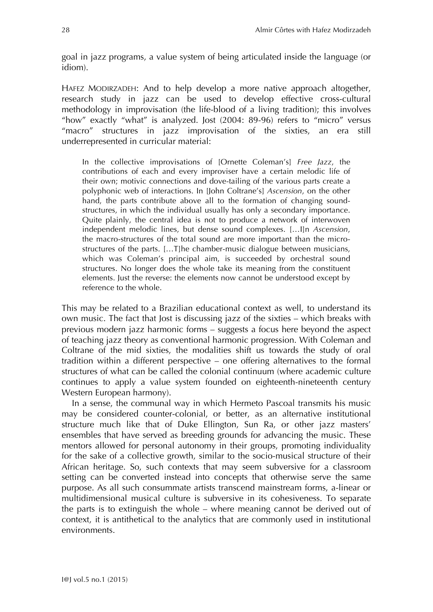goal in jazz programs, a value system of being articulated inside the language (or idiom).

HAFEZ MODIRZADEH: And to help develop a more native approach altogether, research study in jazz can be used to develop effective cross-cultural methodology in improvisation (the life-blood of a living tradition); this involves "how" exactly "what" is analyzed. Jost (2004: 89-96) refers to "micro" versus "macro" structures in jazz improvisation of the sixties, an era still underrepresented in curricular material:

In the collective improvisations of [Ornette Coleman's] *Free Jazz*, the contributions of each and every improviser have a certain melodic life of their own; motivic connections and dove-tailing of the various parts create a polyphonic web of interactions. In [John Coltrane's] *Ascension*, on the other hand, the parts contribute above all to the formation of changing soundstructures, in which the individual usually has only a secondary importance. Quite plainly, the central idea is not to produce a network of interwoven independent melodic lines, but dense sound complexes. […I]n *Ascension*, the macro-structures of the total sound are more important than the microstructures of the parts. […T]he chamber-music dialogue between musicians, which was Coleman's principal aim, is succeeded by orchestral sound structures. No longer does the whole take its meaning from the constituent elements. Just the reverse: the elements now cannot be understood except by reference to the whole.

This may be related to a Brazilian educational context as well, to understand its own music. The fact that Jost is discussing jazz of the sixties – which breaks with previous modern jazz harmonic forms – suggests a focus here beyond the aspect of teaching jazz theory as conventional harmonic progression. With Coleman and Coltrane of the mid sixties, the modalities shift us towards the study of oral tradition within a different perspective – one offering alternatives to the formal structures of what can be called the colonial continuum (where academic culture continues to apply a value system founded on eighteenth-nineteenth century Western European harmony).

In a sense, the communal way in which Hermeto Pascoal transmits his music may be considered counter-colonial, or better, as an alternative institutional structure much like that of Duke Ellington, Sun Ra, or other jazz masters' ensembles that have served as breeding grounds for advancing the music. These mentors allowed for personal autonomy in their groups, promoting individuality for the sake of a collective growth, similar to the socio-musical structure of their African heritage. So, such contexts that may seem subversive for a classroom setting can be converted instead into concepts that otherwise serve the same purpose. As all such consummate artists transcend mainstream forms, a-linear or multidimensional musical culture is subversive in its cohesiveness. To separate the parts is to extinguish the whole – where meaning cannot be derived out of context, it is antithetical to the analytics that are commonly used in institutional environments.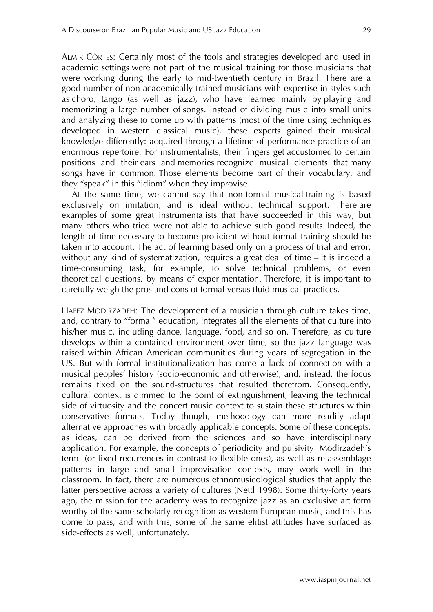ALMIR CÔRTES: Certainly most of the tools and strategies developed and used in academic settings were not part of the musical training for those musicians that were working during the early to mid-twentieth century in Brazil. There are a good number of non-academically trained musicians with expertise in styles such as choro, tango (as well as jazz), who have learned mainly by playing and memorizing a large number of songs. Instead of dividing music into small units and analyzing these to come up with patterns (most of the time using techniques developed in western classical music), these experts gained their musical knowledge differently: acquired through a lifetime of performance practice of an enormous repertoire. For instrumentalists, their fingers get accustomed to certain positions and their ears and memories recognize musical elements that many songs have in common. Those elements become part of their vocabulary, and they "speak" in this "idiom" when they improvise.

At the same time, we cannot say that non-formal musical training is based exclusively on imitation, and is ideal without technical support. There are examples of some great instrumentalists that have succeeded in this way, but many others who tried were not able to achieve such good results. Indeed, the length of time necessary to become proficient without formal training should be taken into account. The act of learning based only on a process of trial and error, without any kind of systematization, requires a great deal of time – it is indeed a time-consuming task, for example, to solve technical problems, or even theoretical questions, by means of experimentation. Therefore, it is important to carefully weigh the pros and cons of formal versus fluid musical practices.

HAFEZ MODIRZADEH: The development of a musician through culture takes time, and, contrary to "formal" education, integrates all the elements of that culture into his/her music, including dance, language, food, and so on. Therefore, as culture develops within a contained environment over time, so the jazz language was raised within African American communities during years of segregation in the US. But with formal institutionalization has come a lack of connection with a musical peoples' history (socio-economic and otherwise), and, instead, the focus remains fixed on the sound-structures that resulted therefrom. Consequently, cultural context is dimmed to the point of extinguishment, leaving the technical side of virtuosity and the concert music context to sustain these structures within conservative formats. Today though, methodology can more readily adapt alternative approaches with broadly applicable concepts. Some of these concepts, as ideas, can be derived from the sciences and so have interdisciplinary application. For example, the concepts of periodicity and pulsivity [Modirzadeh's term] (or fixed recurrences in contrast to flexible ones), as well as re-assemblage patterns in large and small improvisation contexts, may work well in the classroom. In fact, there are numerous ethnomusicological studies that apply the latter perspective across a variety of cultures (Nettl 1998). Some thirty-forty years ago, the mission for the academy was to recognize jazz as an exclusive art form worthy of the same scholarly recognition as western European music, and this has come to pass, and with this, some of the same elitist attitudes have surfaced as side-effects as well, unfortunately.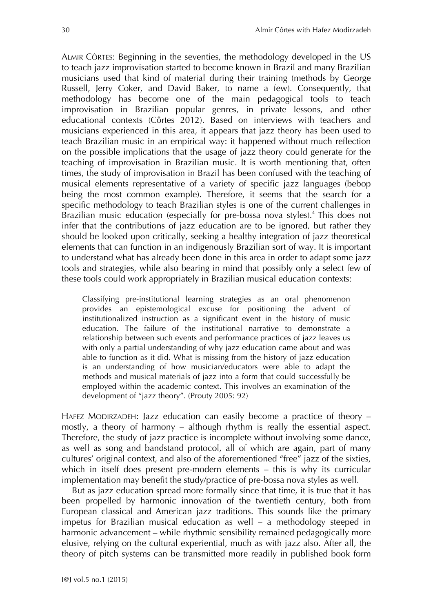ALMIR CÔRTES: Beginning in the seventies, the methodology developed in the US to teach jazz improvisation started to become known in Brazil and many Brazilian musicians used that kind of material during their training (methods by George Russell, Jerry Coker, and David Baker, to name a few). Consequently, that methodology has become one of the main pedagogical tools to teach improvisation in Brazilian popular genres, in private lessons, and other educational contexts (Côrtes 2012). Based on interviews with teachers and musicians experienced in this area, it appears that jazz theory has been used to teach Brazilian music in an empirical way: it happened without much reflection on the possible implications that the usage of jazz theory could generate for the teaching of improvisation in Brazilian music. It is worth mentioning that, often times, the study of improvisation in Brazil has been confused with the teaching of musical elements representative of a variety of specific jazz languages (bebop being the most common example). Therefore, it seems that the search for a specific methodology to teach Brazilian styles is one of the current challenges in Brazilian music education (especially for pre-bossa nova styles). <sup>4</sup> This does not infer that the contributions of jazz education are to be ignored, but rather they should be looked upon critically, seeking a healthy integration of jazz theoretical elements that can function in an indigenously Brazilian sort of way. It is important to understand what has already been done in this area in order to adapt some jazz tools and strategies, while also bearing in mind that possibly only a select few of these tools could work appropriately in Brazilian musical education contexts:

Classifying pre-institutional learning strategies as an oral phenomenon provides an epistemological excuse for positioning the advent of institutionalized instruction as a significant event in the history of music education. The failure of the institutional narrative to demonstrate a relationship between such events and performance practices of jazz leaves us with only a partial understanding of why jazz education came about and was able to function as it did. What is missing from the history of jazz education is an understanding of how musician/educators were able to adapt the methods and musical materials of jazz into a form that could successfully be employed within the academic context. This involves an examination of the development of "jazz theory". (Prouty 2005: 92)

HAFEZ MODIRZADEH: Jazz education can easily become a practice of theory – mostly, a theory of harmony – although rhythm is really the essential aspect. Therefore, the study of jazz practice is incomplete without involving some dance, as well as song and bandstand protocol, all of which are again, part of many cultures' original context, and also of the aforementioned "free" jazz of the sixties, which in itself does present pre-modern elements – this is why its curricular implementation may benefit the study/practice of pre-bossa nova styles as well.

But as jazz education spread more formally since that time, it is true that it has been propelled by harmonic innovation of the twentieth century, both from European classical and American jazz traditions. This sounds like the primary impetus for Brazilian musical education as well – a methodology steeped in harmonic advancement – while rhythmic sensibility remained pedagogically more elusive, relying on the cultural experiential, much as with jazz also. After all, the theory of pitch systems can be transmitted more readily in published book form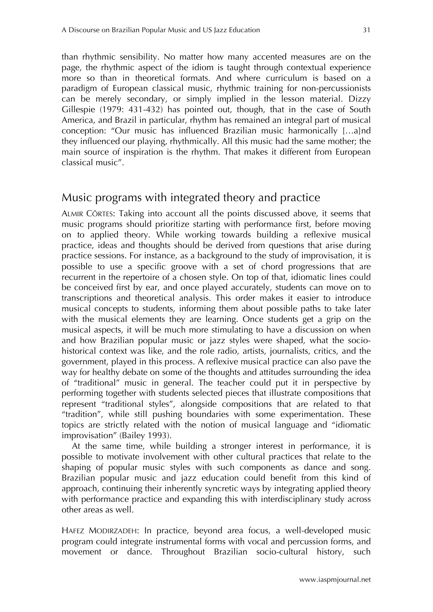than rhythmic sensibility. No matter how many accented measures are on the page, the rhythmic aspect of the idiom is taught through contextual experience more so than in theoretical formats. And where curriculum is based on a paradigm of European classical music, rhythmic training for non-percussionists can be merely secondary, or simply implied in the lesson material. Dizzy Gillespie (1979: 431-432) has pointed out, though, that in the case of South America, and Brazil in particular, rhythm has remained an integral part of musical conception: "Our music has influenced Brazilian music harmonically […a]nd they influenced our playing, rhythmically. All this music had the same mother; the main source of inspiration is the rhythm. That makes it different from European classical music".

#### Music programs with integrated theory and practice

ALMIR CÔRTES: Taking into account all the points discussed above, it seems that music programs should prioritize starting with performance first, before moving on to applied theory. While working towards building a reflexive musical practice, ideas and thoughts should be derived from questions that arise during practice sessions. For instance, as a background to the study of improvisation, it is possible to use a specific groove with a set of chord progressions that are recurrent in the repertoire of a chosen style. On top of that, idiomatic lines could be conceived first by ear, and once played accurately, students can move on to transcriptions and theoretical analysis. This order makes it easier to introduce musical concepts to students, informing them about possible paths to take later with the musical elements they are learning. Once students get a grip on the musical aspects, it will be much more stimulating to have a discussion on when and how Brazilian popular music or jazz styles were shaped, what the sociohistorical context was like, and the role radio, artists, journalists, critics, and the government, played in this process. A reflexive musical practice can also pave the way for healthy debate on some of the thoughts and attitudes surrounding the idea of "traditional" music in general. The teacher could put it in perspective by performing together with students selected pieces that illustrate compositions that represent "traditional styles", alongside compositions that are related to that "tradition", while still pushing boundaries with some experimentation. These topics are strictly related with the notion of musical language and "idiomatic improvisation" (Bailey 1993).

At the same time, while building a stronger interest in performance, it is possible to motivate involvement with other cultural practices that relate to the shaping of popular music styles with such components as dance and song. Brazilian popular music and jazz education could benefit from this kind of approach, continuing their inherently syncretic ways by integrating applied theory with performance practice and expanding this with interdisciplinary study across other areas as well.

HAFEZ MODIRZADEH: In practice, beyond area focus, a well-developed music program could integrate instrumental forms with vocal and percussion forms, and movement or dance. Throughout Brazilian socio-cultural history, such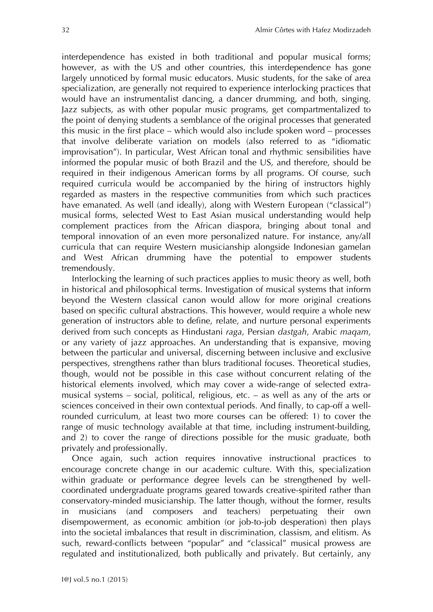interdependence has existed in both traditional and popular musical forms; however, as with the US and other countries, this interdependence has gone largely unnoticed by formal music educators. Music students, for the sake of area specialization, are generally not required to experience interlocking practices that would have an instrumentalist dancing, a dancer drumming, and both, singing. Jazz subjects, as with other popular music programs, get compartmentalized to the point of denying students a semblance of the original processes that generated this music in the first place – which would also include spoken word – processes that involve deliberate variation on models (also referred to as "idiomatic improvisation"). In particular, West African tonal and rhythmic sensibilities have informed the popular music of both Brazil and the US, and therefore, should be required in their indigenous American forms by all programs. Of course, such required curricula would be accompanied by the hiring of instructors highly regarded as masters in the respective communities from which such practices have emanated. As well (and ideally), along with Western European ("classical") musical forms, selected West to East Asian musical understanding would help complement practices from the African diaspora, bringing about tonal and temporal innovation of an even more personalized nature. For instance, any/all curricula that can require Western musicianship alongside Indonesian gamelan and West African drumming have the potential to empower students tremendously.

Interlocking the learning of such practices applies to music theory as well, both in historical and philosophical terms. Investigation of musical systems that inform beyond the Western classical canon would allow for more original creations based on specific cultural abstractions. This however, would require a whole new generation of instructors able to define, relate, and nurture personal experiments derived from such concepts as Hindustani *raga*, Persian *dastgah*, Arabic *maqam*, or any variety of jazz approaches. An understanding that is expansive, moving between the particular and universal, discerning between inclusive and exclusive perspectives, strengthens rather than blurs traditional focuses. Theoretical studies, though, would not be possible in this case without concurrent relating of the historical elements involved, which may cover a wide-range of selected extramusical systems – social, political, religious, etc. – as well as any of the arts or sciences conceived in their own contextual periods. And finally, to cap-off a wellrounded curriculum, at least two more courses can be offered: 1) to cover the range of music technology available at that time, including instrument-building, and 2) to cover the range of directions possible for the music graduate, both privately and professionally.

Once again, such action requires innovative instructional practices to encourage concrete change in our academic culture. With this, specialization within graduate or performance degree levels can be strengthened by wellcoordinated undergraduate programs geared towards creative-spirited rather than conservatory-minded musicianship. The latter though, without the former, results in musicians (and composers and teachers) perpetuating their own disempowerment, as economic ambition (or job-to-job desperation) then plays into the societal imbalances that result in discrimination, classism, and elitism. As such, reward-conflicts between "popular" and "classical" musical prowess are regulated and institutionalized, both publically and privately. But certainly, any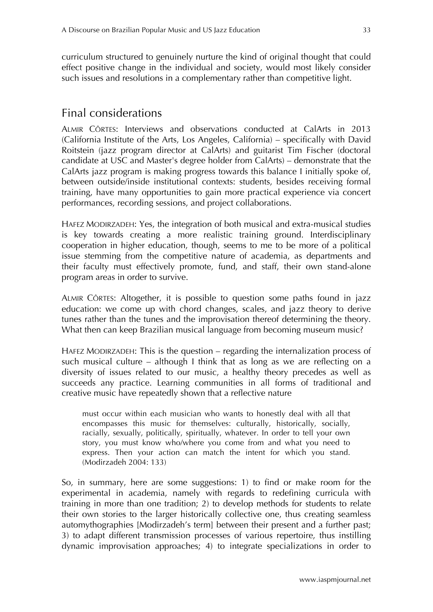curriculum structured to genuinely nurture the kind of original thought that could effect positive change in the individual and society, would most likely consider such issues and resolutions in a complementary rather than competitive light.

## Final considerations

ALMIR CÔRTES: Interviews and observations conducted at CalArts in 2013 (California Institute of the Arts, Los Angeles, California) – specifically with David Roitstein (jazz program director at CalArts) and guitarist Tim Fischer (doctoral candidate at USC and Master's degree holder from CalArts) – demonstrate that the CalArts jazz program is making progress towards this balance I initially spoke of, between outside/inside institutional contexts: students, besides receiving formal training, have many opportunities to gain more practical experience via concert performances, recording sessions, and project collaborations.

HAFEZ MODIRZADEH: Yes, the integration of both musical and extra-musical studies is key towards creating a more realistic training ground. Interdisciplinary cooperation in higher education, though, seems to me to be more of a political issue stemming from the competitive nature of academia, as departments and their faculty must effectively promote, fund, and staff, their own stand-alone program areas in order to survive.

ALMIR CÔRTES: Altogether, it is possible to question some paths found in jazz education: we come up with chord changes, scales, and jazz theory to derive tunes rather than the tunes and the improvisation thereof determining the theory. What then can keep Brazilian musical language from becoming museum music?

HAFEZ MODIRZADEH: This is the question – regarding the internalization process of such musical culture – although I think that as long as we are reflecting on a diversity of issues related to our music, a healthy theory precedes as well as succeeds any practice. Learning communities in all forms of traditional and creative music have repeatedly shown that a reflective nature

must occur within each musician who wants to honestly deal with all that encompasses this music for themselves: culturally, historically, socially, racially, sexually, politically, spiritually, whatever. In order to tell your own story, you must know who/where you come from and what you need to express. Then your action can match the intent for which you stand. (Modirzadeh 2004: 133)

So, in summary, here are some suggestions: 1) to find or make room for the experimental in academia, namely with regards to redefining curricula with training in more than one tradition; 2) to develop methods for students to relate their own stories to the larger historically collective one, thus creating seamless automythographies [Modirzadeh's term] between their present and a further past; 3) to adapt different transmission processes of various repertoire, thus instilling dynamic improvisation approaches; 4) to integrate specializations in order to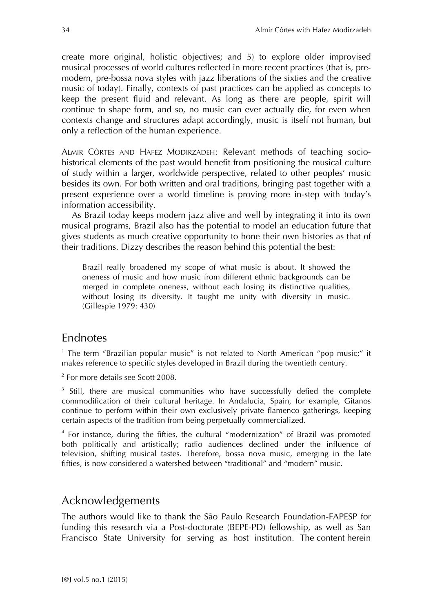create more original, holistic objectives; and 5) to explore older improvised musical processes of world cultures reflected in more recent practices (that is, premodern, pre-bossa nova styles with jazz liberations of the sixties and the creative music of today). Finally, contexts of past practices can be applied as concepts to keep the present fluid and relevant. As long as there are people, spirit will continue to shape form, and so, no music can ever actually die, for even when contexts change and structures adapt accordingly, music is itself not human, but only a reflection of the human experience.

ALMIR CÔRTES AND HAFEZ MODIRZADEH: Relevant methods of teaching sociohistorical elements of the past would benefit from positioning the musical culture of study within a larger, worldwide perspective, related to other peoples' music besides its own. For both written and oral traditions, bringing past together with a present experience over a world timeline is proving more in-step with today's information accessibility.

As Brazil today keeps modern jazz alive and well by integrating it into its own musical programs, Brazil also has the potential to model an education future that gives students as much creative opportunity to hone their own histories as that of their traditions. Dizzy describes the reason behind this potential the best:

Brazil really broadened my scope of what music is about. It showed the oneness of music and how music from different ethnic backgrounds can be merged in complete oneness, without each losing its distinctive qualities, without losing its diversity. It taught me unity with diversity in music. (Gillespie 1979: 430)

#### Endnotes

<sup>1</sup> The term "Brazilian popular music" is not related to North American "pop music;" it makes reference to specific styles developed in Brazil during the twentieth century.

<sup>2</sup> For more details see Scott 2008.

<sup>3</sup> Still, there are musical communities who have successfully defied the complete commodification of their cultural heritage. In Andalucia, Spain, for example, Gitanos continue to perform within their own exclusively private flamenco gatherings, keeping certain aspects of the tradition from being perpetually commercialized.

<sup>4</sup> For instance, during the fifties, the cultural "modernization" of Brazil was promoted both politically and artistically; radio audiences declined under the influence of television, shifting musical tastes. Therefore, bossa nova music, emerging in the late fifties, is now considered a watershed between "traditional" and "modern" music.

## Acknowledgements

The authors would like to thank the São Paulo Research Foundation-FAPESP for funding this research via a Post-doctorate (BEPE-PD) fellowship, as well as San Francisco State University for serving as host institution. The content herein